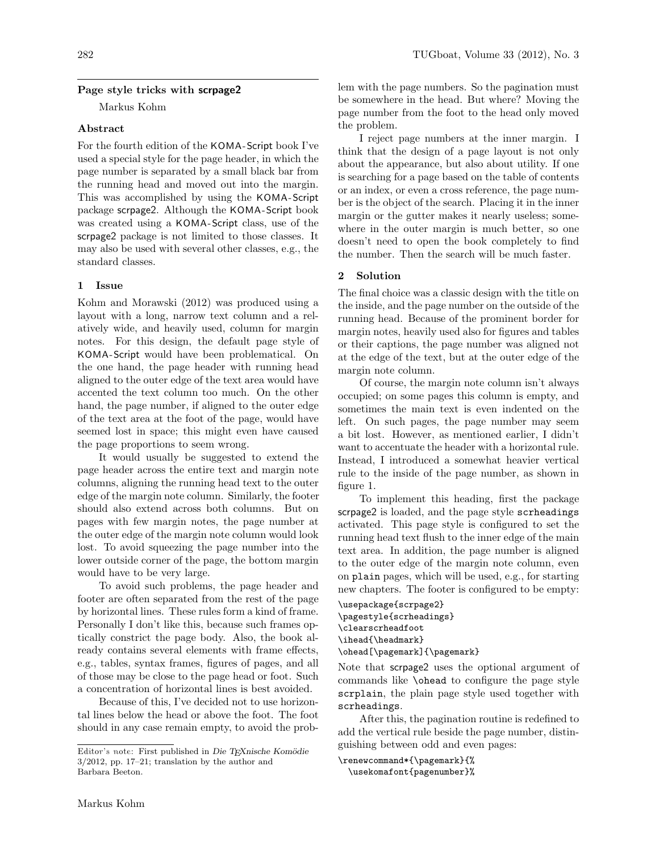# Page style tricks with scrpage2

Markus Kohm

# Abstract

For the fourth edition of the KOMA-Script book I've used a special style for the page header, in which the page number is separated by a small black bar from the running head and moved out into the margin. This was accomplished by using the KOMA-Script package scrpage2. Although the KOMA-Script book was created using a KOMA-Script class, use of the scrpage2 package is not limited to those classes. It may also be used with several other classes, e.g., the standard classes.

# 1 Issue

Kohm and Morawski (2012) was produced using a layout with a long, narrow text column and a relatively wide, and heavily used, column for margin notes. For this design, the default page style of KOMA -Script would have been problematical. On the one hand, the page header with running head aligned to the outer edge of the text area would have accented the text column too much. On the other hand, the page number, if aligned to the outer edge of the text area at the foot of the page, would have seemed lost in space; this might even have caused the page proportions to seem wrong.

It would usually be suggested to extend the page header across the entire text and margin note columns, aligning the running head text to the outer edge of the margin note column. Similarly, the footer should also extend across both columns. But on pages with few margin notes, the page number at the outer edge of the margin note column would look lost. To avoid squeezing the page number into the lower outside corner of the page, the bottom margin would have to be very large.

To avoid such problems, the page header and footer are often separated from the rest of the page by horizontal lines. These rules form a kind of frame. Personally I don't like this, because such frames optically constrict the page body. Also, the book already contains several elements with frame effects, e.g., tables, syntax frames, figures of pages, and all of those may be close to the page head or foot. Such a concentration of horizontal lines is best avoided.

Because of this, I've decided not to use horizontal lines below the head or above the foot. The foot should in any case remain empty, to avoid the problem with the page numbers. So the pagination must be somewhere in the head. But where? Moving the page number from the foot to the head only moved the problem.

I reject page numbers at the inner margin. I think that the design of a page layout is not only about the appearance, but also about utility. If one is searching for a page based on the table of contents or an index, or even a cross reference, the page number is the object of the search. Placing it in the inner margin or the gutter makes it nearly useless; somewhere in the outer margin is much better, so one doesn't need to open the book completely to find the number. Then the search will be much faster.

#### 2 Solution

The final choice was a classic design with the title on the inside, and the page number on the outside of the running head. Because of the prominent border for margin notes, heavily used also for figures and tables or their captions, the page number was aligned not at the edge of the text, but at the outer edge of the margin note column.

Of course, the margin note column isn't always occupied; on some pages this column is empty, and sometimes the main text is even indented on the left. On such pages, the page number may seem a bit lost. However, as mentioned earlier, I didn't want to accentuate the header with a horizontal rule. Instead, I introduced a somewhat heavier vertical rule to the inside of the page number, as shown in figure 1.

To implement this heading, first the package scrpage2 is loaded, and the page style scrheadings activated. This page style is configured to set the running head text flush to the inner edge of the main text area. In addition, the page number is aligned to the outer edge of the margin note column, even on plain pages, which will be used, e.g., for starting new chapters. The footer is configured to be empty:

```
\usepackage{scrpage2}
\pagestyle{scrheadings}
\clearscrheadfoot
\ihead{\headmark}
\ohead[\pagemark]{\pagemark}
```
Note that scrpage2 uses the optional argument of commands like \ohead to configure the page style scrplain, the plain page style used together with scrheadings.

After this, the pagination routine is redefined to add the vertical rule beside the page number, distinguishing between odd and even pages:

\renewcommand\*{\pagemark}{% \usekomafont{pagenumber}%

Editor's note: First published in Die TEXnische Komödie 3/2012, pp. 17–21; translation by the author and Barbara Beeton.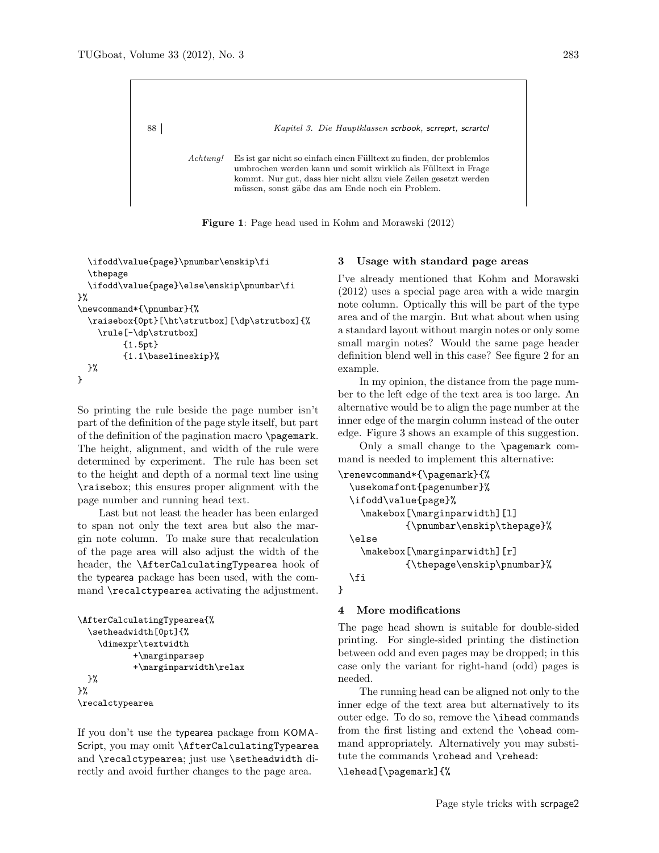

Figure 1: Page head used in Kohm and Morawski (2012)

```
\ifodd\value{page}\pnumbar\enskip\fi
  \thepage
  \ifodd\value{page}\else\enskip\pnumbar\fi
}%
\newcommand*{\pnumbar}{%
  \raisebox{0pt}[\ht\strutbox][\dp\strutbox]{%
    \rule[-\dp\strutbox]
         {1.5pt}
         {1.1\baselineskip}%
 }%
}
```
So printing the rule beside the page number isn't part of the definition of the page style itself, but part of the definition of the pagination macro \pagemark. The height, alignment, and width of the rule were determined by experiment. The rule has been set to the height and depth of a normal text line using \raisebox; this ensures proper alignment with the page number and running head text.

Last but not least the header has been enlarged to span not only the text area but also the margin note column. To make sure that recalculation of the page area will also adjust the width of the header, the \AfterCalculatingTypearea hook of the typearea package has been used, with the command \recalctypearea activating the adjustment.

```
\AfterCalculatingTypearea{%
  \setheadwidth[0pt]{%
    \dimexpr\textwidth
           +\marginparsep
           +\marginparwidth\relax
 }%
}%
\recalctypearea
```
If you don't use the typearea package from KOMA-Script, you may omit \AfterCalculatingTypearea and \recalctypearea; just use \setheadwidth directly and avoid further changes to the page area.

## 3 Usage with standard page areas

I've already mentioned that Kohm and Morawski (2012) uses a special page area with a wide margin note column. Optically this will be part of the type area and of the margin. But what about when using a standard layout without margin notes or only some small margin notes? Would the same page header definition blend well in this case? See figure 2 for an example.

In my opinion, the distance from the page number to the left edge of the text area is too large. An alternative would be to align the page number at the inner edge of the margin column instead of the outer edge. Figure 3 shows an example of this suggestion.

Only a small change to the \pagemark command is needed to implement this alternative:

```
\renewcommand*{\pagemark}{%
 \usekomafont{pagenumber}%
  \ifodd\value{page}%
    \makebox[\marginparwidth][l]
            {\pnumbar\enskip\thepage}%
  \else
    \makebox[\marginparwidth][r]
            {\thepage\enskip\pnumbar}%
 \fi
```
# 4 More modifications

}

The page head shown is suitable for double-sided printing. For single-sided printing the distinction between odd and even pages may be dropped; in this case only the variant for right-hand (odd) pages is needed.

The running head can be aligned not only to the inner edge of the text area but alternatively to its outer edge. To do so, remove the \ihead commands from the first listing and extend the \ohead command appropriately. Alternatively you may substitute the commands \rohead and \rehead:

### \lehead[\pagemark]{%